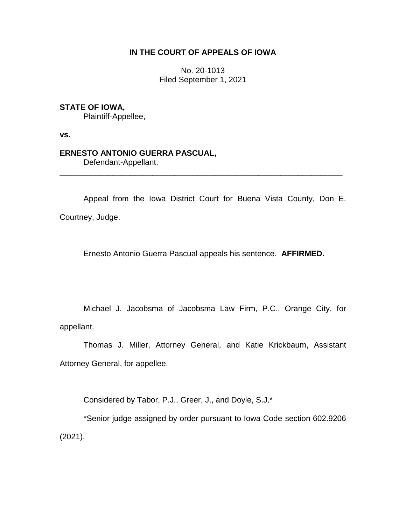# **IN THE COURT OF APPEALS OF IOWA**

No. 20-1013 Filed September 1, 2021

## **STATE OF IOWA,**

Plaintiff-Appellee,

**vs.**

# **ERNESTO ANTONIO GUERRA PASCUAL,**

Defendant-Appellant.

Appeal from the Iowa District Court for Buena Vista County, Don E. Courtney, Judge.

\_\_\_\_\_\_\_\_\_\_\_\_\_\_\_\_\_\_\_\_\_\_\_\_\_\_\_\_\_\_\_\_\_\_\_\_\_\_\_\_\_\_\_\_\_\_\_\_\_\_\_\_\_\_\_\_\_\_\_\_\_\_\_\_

Ernesto Antonio Guerra Pascual appeals his sentence. **AFFIRMED.**

Michael J. Jacobsma of Jacobsma Law Firm, P.C., Orange City, for appellant.

Thomas J. Miller, Attorney General, and Katie Krickbaum, Assistant Attorney General, for appellee.

Considered by Tabor, P.J., Greer, J., and Doyle, S.J.\*

\*Senior judge assigned by order pursuant to Iowa Code section 602.9206 (2021).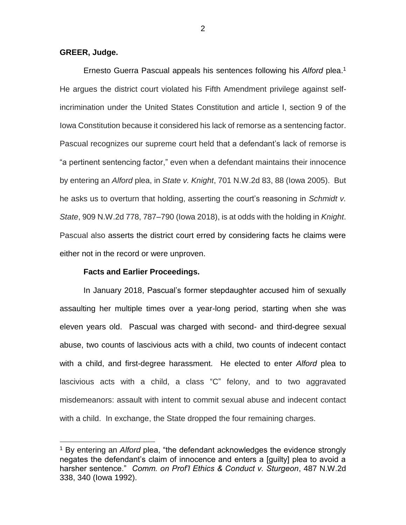### **GREER, Judge.**

 $\overline{a}$ 

Ernesto Guerra Pascual appeals his sentences following his *Alford* plea. 1 He argues the district court violated his Fifth Amendment privilege against selfincrimination under the United States Constitution and article I, section 9 of the Iowa Constitution because it considered his lack of remorse as a sentencing factor. Pascual recognizes our supreme court held that a defendant's lack of remorse is "a pertinent sentencing factor," even when a defendant maintains their innocence by entering an *Alford* plea, in *State v. Knight*, 701 N.W.2d 83, 88 (Iowa 2005). But he asks us to overturn that holding, asserting the court's reasoning in *Schmidt v. State*, 909 N.W.2d 778, 787–790 (Iowa 2018), is at odds with the holding in *Knight*. Pascual also asserts the district court erred by considering facts he claims were either not in the record or were unproven.

#### **Facts and Earlier Proceedings.**

In January 2018, Pascual's former stepdaughter accused him of sexually assaulting her multiple times over a year-long period, starting when she was eleven years old. Pascual was charged with second- and third-degree sexual abuse, two counts of lascivious acts with a child, two counts of indecent contact with a child, and first-degree harassment. He elected to enter *Alford* plea to lascivious acts with a child, a class "C" felony, and to two aggravated misdemeanors: assault with intent to commit sexual abuse and indecent contact with a child. In exchange, the State dropped the four remaining charges.

<sup>1</sup> By entering an *Alford* plea, "the defendant acknowledges the evidence strongly negates the defendant's claim of innocence and enters a [guilty] plea to avoid a harsher sentence." *Comm. on Prof'l Ethics & Conduct v. Sturgeon*, 487 N.W.2d 338, 340 (Iowa 1992).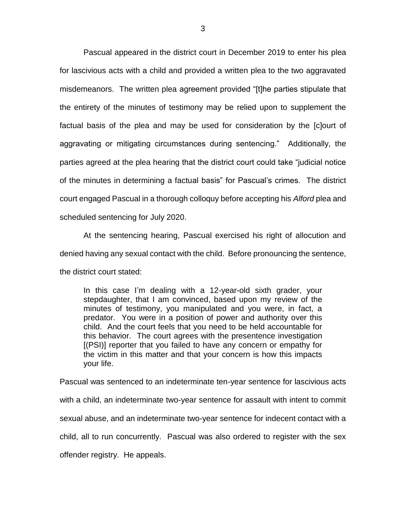Pascual appeared in the district court in December 2019 to enter his plea for lascivious acts with a child and provided a written plea to the two aggravated misdemeanors. The written plea agreement provided "[t]he parties stipulate that the entirety of the minutes of testimony may be relied upon to supplement the factual basis of the plea and may be used for consideration by the [c]ourt of aggravating or mitigating circumstances during sentencing." Additionally, the parties agreed at the plea hearing that the district court could take "judicial notice of the minutes in determining a factual basis" for Pascual's crimes. The district court engaged Pascual in a thorough colloquy before accepting his *Alford* plea and scheduled sentencing for July 2020.

At the sentencing hearing, Pascual exercised his right of allocution and denied having any sexual contact with the child. Before pronouncing the sentence, the district court stated:

In this case I'm dealing with a 12-year-old sixth grader, your stepdaughter, that I am convinced, based upon my review of the minutes of testimony, you manipulated and you were, in fact, a predator. You were in a position of power and authority over this child. And the court feels that you need to be held accountable for this behavior. The court agrees with the presentence investigation [(PSI)] reporter that you failed to have any concern or empathy for the victim in this matter and that your concern is how this impacts your life.

Pascual was sentenced to an indeterminate ten-year sentence for lascivious acts with a child, an indeterminate two-year sentence for assault with intent to commit sexual abuse, and an indeterminate two-year sentence for indecent contact with a child, all to run concurrently. Pascual was also ordered to register with the sex offender registry. He appeals.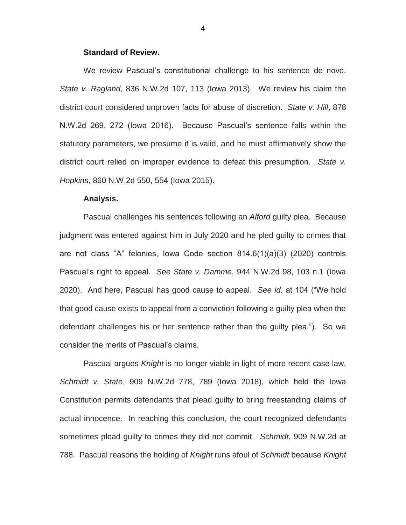## **Standard of Review.**

We review Pascual's constitutional challenge to his sentence de novo. *State v. Ragland*, 836 N.W.2d 107, 113 (Iowa 2013). We review his claim the district court considered unproven facts for abuse of discretion. *State v. Hill*, 878 N.W.2d 269, 272 (Iowa 2016). Because Pascual's sentence falls within the statutory parameters, we presume it is valid, and he must affirmatively show the district court relied on improper evidence to defeat this presumption. *State v. Hopkins*, 860 N.W.2d 550, 554 (Iowa 2015).

### **Analysis.**

Pascual challenges his sentences following an *Alford* guilty plea. Because judgment was entered against him in July 2020 and he pled guilty to crimes that are not class "A" felonies, Iowa Code section 814.6(1)(a)(3) (2020) controls Pascual's right to appeal. *See State v. Damme*, 944 N.W.2d 98, 103 n.1 (Iowa 2020). And here, Pascual has good cause to appeal. *See id.* at 104 ("We hold that good cause exists to appeal from a conviction following a guilty plea when the defendant challenges his or her sentence rather than the guilty plea."). So we consider the merits of Pascual's claims.

Pascual argues *Knight* is no longer viable in light of more recent case law, *Schmidt v. State*, 909 N.W.2d 778, 789 (Iowa 2018), which held the Iowa Constitution permits defendants that plead guilty to bring freestanding claims of actual innocence. In reaching this conclusion, the court recognized defendants sometimes plead guilty to crimes they did not commit. *Schmidt*, 909 N.W.2d at 788.Pascual reasons the holding of *Knight* runs afoul of *Schmidt* because *Knight*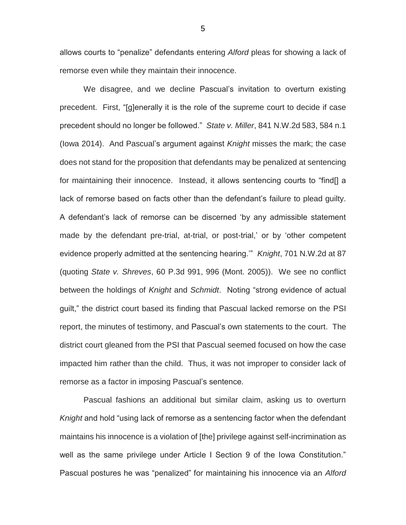allows courts to "penalize" defendants entering *Alford* pleas for showing a lack of remorse even while they maintain their innocence.

We disagree, and we decline Pascual's invitation to overturn existing precedent. First, "[g]enerally it is the role of the supreme court to decide if case precedent should no longer be followed." *State v. Miller*, 841 N.W.2d 583, 584 n.1 (Iowa 2014). And Pascual's argument against *Knight* misses the mark; the case does not stand for the proposition that defendants may be penalized at sentencing for maintaining their innocence. Instead, it allows sentencing courts to "find[] a lack of remorse based on facts other than the defendant's failure to plead guilty. A defendant's lack of remorse can be discerned 'by any admissible statement made by the defendant pre-trial, at-trial, or post-trial,' or by 'other competent evidence properly admitted at the sentencing hearing.'" *Knight*, 701 N.W.2d at 87 (quoting *State v. Shreves*, 60 P.3d 991, 996 (Mont. 2005)). We see no conflict between the holdings of *Knight* and *Schmidt*. Noting "strong evidence of actual guilt," the district court based its finding that Pascual lacked remorse on the PSI report, the minutes of testimony, and Pascual's own statements to the court. The district court gleaned from the PSI that Pascual seemed focused on how the case impacted him rather than the child. Thus, it was not improper to consider lack of remorse as a factor in imposing Pascual's sentence.

Pascual fashions an additional but similar claim, asking us to overturn *Knight* and hold "using lack of remorse as a sentencing factor when the defendant maintains his innocence is a violation of [the] privilege against self-incrimination as well as the same privilege under Article I Section 9 of the Iowa Constitution." Pascual postures he was "penalized" for maintaining his innocence via an *Alford*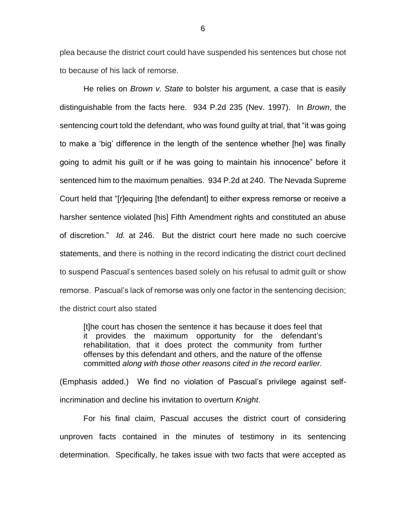plea because the district court could have suspended his sentences but chose not to because of his lack of remorse.

He relies on *Brown v. State* to bolster his argument, a case that is easily distinguishable from the facts here. 934 P.2d 235 (Nev. 1997). In *Brown*, the sentencing court told the defendant, who was found guilty at trial, that "it was going to make a 'big' difference in the length of the sentence whether [he] was finally going to admit his guilt or if he was going to maintain his innocence" before it sentenced him to the maximum penalties. 934 P.2d at 240. The Nevada Supreme Court held that "[r]equiring [the defendant] to either express remorse or receive a harsher sentence violated [his] Fifth Amendment rights and constituted an abuse of discretion." *Id.* at 246. But the district court here made no such coercive statements, and there is nothing in the record indicating the district court declined to suspend Pascual's sentences based solely on his refusal to admit guilt or show remorse. Pascual's lack of remorse was only one factor in the sentencing decision; the district court also stated

[t]he court has chosen the sentence it has because it does feel that it provides the maximum opportunity for the defendant's rehabilitation, that it does protect the community from further offenses by this defendant and others, and the nature of the offense committed *along with those other reasons cited in the record earlier.*

(Emphasis added.) We find no violation of Pascual's privilege against selfincrimination and decline his invitation to overturn *Knight*.

For his final claim, Pascual accuses the district court of considering unproven facts contained in the minutes of testimony in its sentencing determination. Specifically, he takes issue with two facts that were accepted as